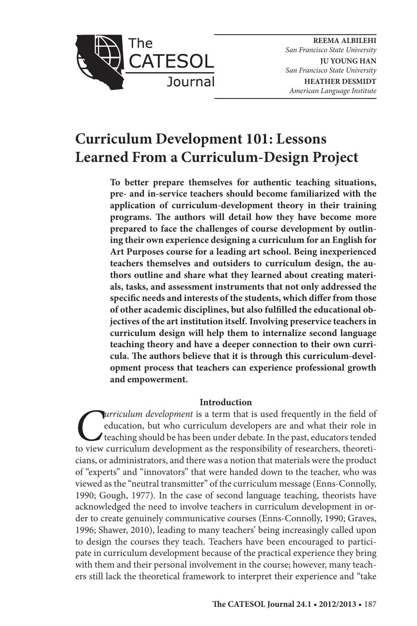

**REEMA ALBILEHI** *San Francisco State University* **JU YOUNG HAN** *San Francisco State University* **HEATHER DESMIDT**

*American Language Institute*

# **Curriculum Development 101: Lessons Learned From a Curriculum-Design Project**

**To better prepare themselves for authentic teaching situations, pre- and in-service teachers should become familiarized with the application of curriculum-development theory in their training programs. The authors will detail how they have become more prepared to face the challenges of course development by outlining their own experience designing a curriculum for an English for Art Purposes course for a leading art school. Being inexperienced teachers themselves and outsiders to curriculum design, the authors outline and share what they learned about creating materials, tasks, and assessment instruments that not only addressed the specific needs and interests of the students, which differ from those of other academic disciplines, but also fulfilled the educational objectives of the art institution itself. Involving preservice teachers in curriculum design will help them to internalize second language teaching theory and have a deeper connection to their own curricula. The authors believe that it is through this curriculum-development process that teachers can experience professional growth and empowerment.**

# **Introduction**

*Curriculum development* is a term that is used frequently in the field of education, but who curriculum developers are and what their role in teaching should be has been under debate. In the past, educators tended to view education, but who curriculum developers are and what their role in teaching should be has been under debate. In the past, educators tended to view curriculum development as the responsibility of researchers, theoreticians, or administrators, and there was a notion that materials were the product of "experts" and "innovators" that were handed down to the teacher, who was viewed as the "neutral transmitter" of the curriculum message (Enns-Connolly, 1990; Gough, 1977). In the case of second language teaching, theorists have acknowledged the need to involve teachers in curriculum development in order to create genuinely communicative courses (Enns-Connolly, 1990; Graves, 1996; Shawer, 2010), leading to many teachers' being increasingly called upon to design the courses they teach. Teachers have been encouraged to participate in curriculum development because of the practical experience they bring with them and their personal involvement in the course; however, many teachers still lack the theoretical framework to interpret their experience and "take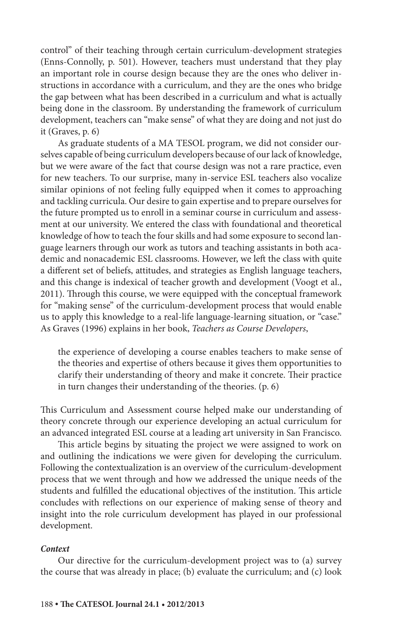control" of their teaching through certain curriculum-development strategies (Enns-Connolly, p. 501). However, teachers must understand that they play an important role in course design because they are the ones who deliver instructions in accordance with a curriculum, and they are the ones who bridge the gap between what has been described in a curriculum and what is actually being done in the classroom. By understanding the framework of curriculum development, teachers can "make sense" of what they are doing and not just do it (Graves, p. 6)

As graduate students of a MA TESOL program, we did not consider ourselves capable of being curriculum developers because of our lack of knowledge, but we were aware of the fact that course design was not a rare practice, even for new teachers. To our surprise, many in-service ESL teachers also vocalize similar opinions of not feeling fully equipped when it comes to approaching and tackling curricula. Our desire to gain expertise and to prepare ourselves for the future prompted us to enroll in a seminar course in curriculum and assessment at our university. We entered the class with foundational and theoretical knowledge of how to teach the four skills and had some exposure to second language learners through our work as tutors and teaching assistants in both academic and nonacademic ESL classrooms. However, we left the class with quite a different set of beliefs, attitudes, and strategies as English language teachers, and this change is indexical of teacher growth and development (Voogt et al., 2011). Through this course, we were equipped with the conceptual framework for "making sense" of the curriculum-development process that would enable us to apply this knowledge to a real-life language-learning situation, or "case." As Graves (1996) explains in her book, *Teachers as Course Developers*,

the experience of developing a course enables teachers to make sense of the theories and expertise of others because it gives them opportunities to clarify their understanding of theory and make it concrete. Their practice in turn changes their understanding of the theories. (p. 6)

This Curriculum and Assessment course helped make our understanding of theory concrete through our experience developing an actual curriculum for an advanced integrated ESL course at a leading art university in San Francisco.

This article begins by situating the project we were assigned to work on and outlining the indications we were given for developing the curriculum. Following the contextualization is an overview of the curriculum-development process that we went through and how we addressed the unique needs of the students and fulfilled the educational objectives of the institution. This article concludes with reflections on our experience of making sense of theory and insight into the role curriculum development has played in our professional development.

#### *Context*

Our directive for the curriculum-development project was to (a) survey the course that was already in place; (b) evaluate the curriculum; and (c) look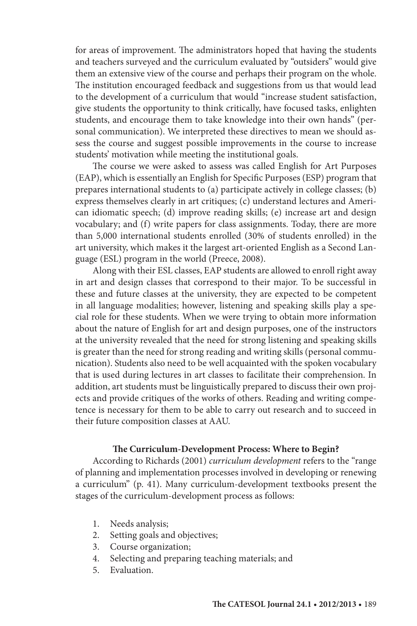for areas of improvement. The administrators hoped that having the students and teachers surveyed and the curriculum evaluated by "outsiders" would give them an extensive view of the course and perhaps their program on the whole. The institution encouraged feedback and suggestions from us that would lead to the development of a curriculum that would "increase student satisfaction, give students the opportunity to think critically, have focused tasks, enlighten students, and encourage them to take knowledge into their own hands" (personal communication). We interpreted these directives to mean we should assess the course and suggest possible improvements in the course to increase students' motivation while meeting the institutional goals.

The course we were asked to assess was called English for Art Purposes (EAP), which is essentially an English for Specific Purposes (ESP) program that prepares international students to (a) participate actively in college classes; (b) express themselves clearly in art critiques; (c) understand lectures and American idiomatic speech; (d) improve reading skills; (e) increase art and design vocabulary; and (f) write papers for class assignments. Today, there are more than 5,000 international students enrolled (30% of students enrolled) in the art university, which makes it the largest art-oriented English as a Second Language (ESL) program in the world (Preece, 2008).

Along with their ESL classes, EAP students are allowed to enroll right away in art and design classes that correspond to their major. To be successful in these and future classes at the university, they are expected to be competent in all language modalities; however, listening and speaking skills play a special role for these students. When we were trying to obtain more information about the nature of English for art and design purposes, one of the instructors at the university revealed that the need for strong listening and speaking skills is greater than the need for strong reading and writing skills (personal communication). Students also need to be well acquainted with the spoken vocabulary that is used during lectures in art classes to facilitate their comprehension. In addition, art students must be linguistically prepared to discuss their own projects and provide critiques of the works of others. Reading and writing competence is necessary for them to be able to carry out research and to succeed in their future composition classes at AAU.

# **The Curriculum-Development Process: Where to Begin?**

According to Richards (2001) *curriculum development* refers to the "range of planning and implementation processes involved in developing or renewing a curriculum" (p. 41). Many curriculum-development textbooks present the stages of the curriculum-development process as follows:

- 1. Needs analysis;
- 2. Setting goals and objectives;
- 3. Course organization;
- 4. Selecting and preparing teaching materials; and
- 5. Evaluation.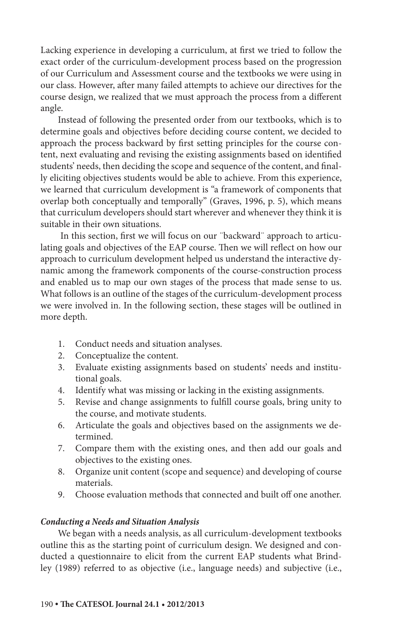Lacking experience in developing a curriculum, at first we tried to follow the exact order of the curriculum-development process based on the progression of our Curriculum and Assessment course and the textbooks we were using in our class. However, after many failed attempts to achieve our directives for the course design, we realized that we must approach the process from a different angle.

Instead of following the presented order from our textbooks, which is to determine goals and objectives before deciding course content, we decided to approach the process backward by first setting principles for the course content, next evaluating and revising the existing assignments based on identified students' needs, then deciding the scope and sequence of the content, and finally eliciting objectives students would be able to achieve. From this experience, we learned that curriculum development is "a framework of components that overlap both conceptually and temporally" (Graves, 1996, p. 5), which means that curriculum developers should start wherever and whenever they think it is suitable in their own situations.

 In this section, first we will focus on our ¨backward¨ approach to articulating goals and objectives of the EAP course. Then we will reflect on how our approach to curriculum development helped us understand the interactive dynamic among the framework components of the course-construction process and enabled us to map our own stages of the process that made sense to us. What follows is an outline of the stages of the curriculum-development process we were involved in. In the following section, these stages will be outlined in more depth.

- 1. Conduct needs and situation analyses.
- 2. Conceptualize the content.
- 3. Evaluate existing assignments based on students' needs and institutional goals.
- 4. Identify what was missing or lacking in the existing assignments.
- 5. Revise and change assignments to fulfill course goals, bring unity to the course, and motivate students.
- 6. Articulate the goals and objectives based on the assignments we determined.
- 7. Compare them with the existing ones, and then add our goals and objectives to the existing ones.
- 8. Organize unit content (scope and sequence) and developing of course materials.
- 9. Choose evaluation methods that connected and built off one another.

#### *Conducting a Needs and Situation Analysis*

We began with a needs analysis, as all curriculum-development textbooks outline this as the starting point of curriculum design. We designed and conducted a questionnaire to elicit from the current EAP students what Brindley (1989) referred to as objective (i.e., language needs) and subjective (i.e.,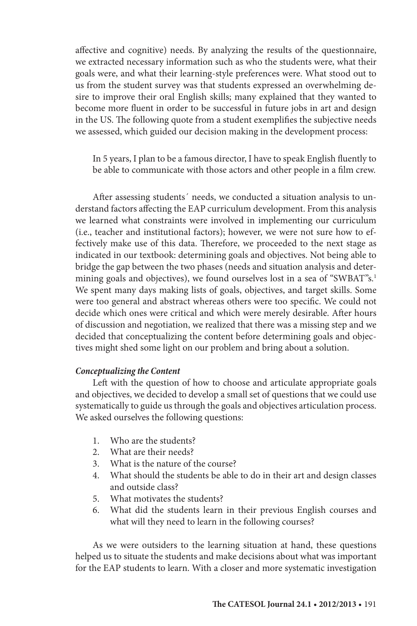affective and cognitive) needs. By analyzing the results of the questionnaire, we extracted necessary information such as who the students were, what their goals were, and what their learning-style preferences were. What stood out to us from the student survey was that students expressed an overwhelming desire to improve their oral English skills; many explained that they wanted to become more fluent in order to be successful in future jobs in art and design in the US. The following quote from a student exemplifies the subjective needs we assessed, which guided our decision making in the development process:

In 5 years, I plan to be a famous director, I have to speak English fluently to be able to communicate with those actors and other people in a film crew.

After assessing students´ needs, we conducted a situation analysis to understand factors affecting the EAP curriculum development. From this analysis we learned what constraints were involved in implementing our curriculum (i.e., teacher and institutional factors); however, we were not sure how to effectively make use of this data. Therefore, we proceeded to the next stage as indicated in our textbook: determining goals and objectives. Not being able to bridge the gap between the two phases (needs and situation analysis and determining goals and objectives), we found ourselves lost in a sea of "SWBAT"s.<sup>1</sup> We spent many days making lists of goals, objectives, and target skills. Some were too general and abstract whereas others were too specific. We could not decide which ones were critical and which were merely desirable. After hours of discussion and negotiation, we realized that there was a missing step and we decided that conceptualizing the content before determining goals and objectives might shed some light on our problem and bring about a solution.

# *Conceptualizing the Content*

Left with the question of how to choose and articulate appropriate goals and objectives, we decided to develop a small set of questions that we could use systematically to guide us through the goals and objectives articulation process. We asked ourselves the following questions:

- 1. Who are the students?
- 2. What are their needs?
- 3. What is the nature of the course?
- 4. What should the students be able to do in their art and design classes and outside class?
- 5. What motivates the students?
- 6. What did the students learn in their previous English courses and what will they need to learn in the following courses?

As we were outsiders to the learning situation at hand, these questions helped us to situate the students and make decisions about what was important for the EAP students to learn. With a closer and more systematic investigation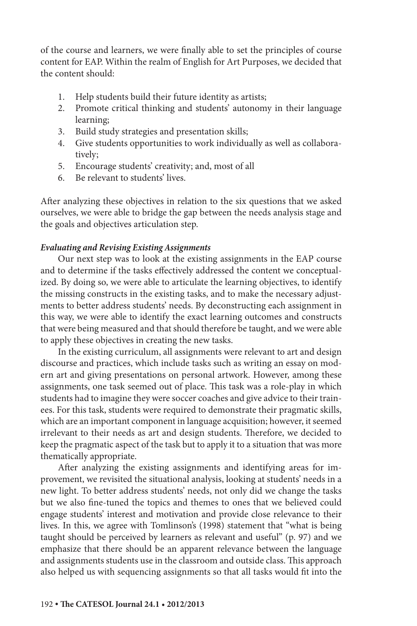of the course and learners, we were finally able to set the principles of course content for EAP. Within the realm of English for Art Purposes, we decided that the content should:

- 1. Help students build their future identity as artists;
- 2. Promote critical thinking and students' autonomy in their language learning;
- 3. Build study strategies and presentation skills;
- 4. Give students opportunities to work individually as well as collaboratively;
- 5. Encourage students' creativity; and, most of all
- 6. Be relevant to students' lives.

After analyzing these objectives in relation to the six questions that we asked ourselves, we were able to bridge the gap between the needs analysis stage and the goals and objectives articulation step.

# *Evaluating and Revising Existing Assignments*

Our next step was to look at the existing assignments in the EAP course and to determine if the tasks effectively addressed the content we conceptualized. By doing so, we were able to articulate the learning objectives, to identify the missing constructs in the existing tasks, and to make the necessary adjustments to better address students' needs. By deconstructing each assignment in this way, we were able to identify the exact learning outcomes and constructs that were being measured and that should therefore be taught, and we were able to apply these objectives in creating the new tasks.

In the existing curriculum, all assignments were relevant to art and design discourse and practices, which include tasks such as writing an essay on modern art and giving presentations on personal artwork. However, among these assignments, one task seemed out of place. This task was a role-play in which students had to imagine they were soccer coaches and give advice to their trainees. For this task, students were required to demonstrate their pragmatic skills, which are an important component in language acquisition; however, it seemed irrelevant to their needs as art and design students. Therefore, we decided to keep the pragmatic aspect of the task but to apply it to a situation that was more thematically appropriate.

After analyzing the existing assignments and identifying areas for improvement, we revisited the situational analysis, looking at students' needs in a new light. To better address students' needs, not only did we change the tasks but we also fine-tuned the topics and themes to ones that we believed could engage students' interest and motivation and provide close relevance to their lives. In this, we agree with Tomlinson's (1998) statement that "what is being taught should be perceived by learners as relevant and useful" (p. 97) and we emphasize that there should be an apparent relevance between the language and assignments students use in the classroom and outside class. This approach also helped us with sequencing assignments so that all tasks would fit into the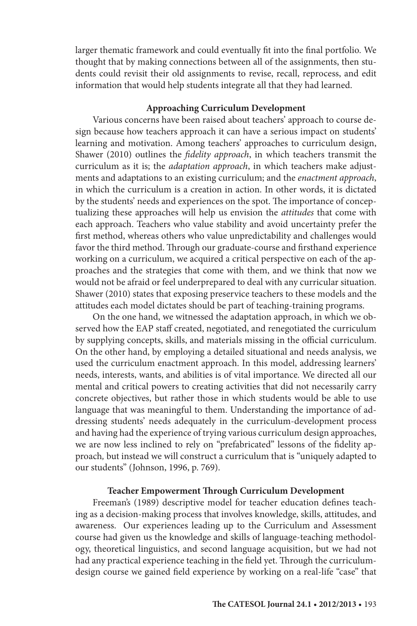larger thematic framework and could eventually fit into the final portfolio*.* We thought that by making connections between all of the assignments, then students could revisit their old assignments to revise, recall, reprocess, and edit information that would help students integrate all that they had learned.

# **Approaching Curriculum Development**

Various concerns have been raised about teachers' approach to course design because how teachers approach it can have a serious impact on students' learning and motivation. Among teachers' approaches to curriculum design, Shawer (2010) outlines the *fidelity approach*, in which teachers transmit the curriculum as it is; the *adaptation approach*, in which teachers make adjustments and adaptations to an existing curriculum; and the *enactment approach*, in which the curriculum is a creation in action. In other words, it is dictated by the students' needs and experiences on the spot. The importance of conceptualizing these approaches will help us envision the *attitudes* that come with each approach. Teachers who value stability and avoid uncertainty prefer the first method, whereas others who value unpredictability and challenges would favor the third method. Through our graduate-course and firsthand experience working on a curriculum, we acquired a critical perspective on each of the approaches and the strategies that come with them, and we think that now we would not be afraid or feel underprepared to deal with any curricular situation. Shawer (2010) states that exposing preservice teachers to these models and the attitudes each model dictates should be part of teaching-training programs.

On the one hand, we witnessed the adaptation approach, in which we observed how the EAP staff created, negotiated, and renegotiated the curriculum by supplying concepts, skills, and materials missing in the official curriculum. On the other hand, by employing a detailed situational and needs analysis, we used the curriculum enactment approach. In this model, addressing learners' needs, interests, wants, and abilities is of vital importance. We directed all our mental and critical powers to creating activities that did not necessarily carry concrete objectives, but rather those in which students would be able to use language that was meaningful to them. Understanding the importance of addressing students' needs adequately in the curriculum-development process and having had the experience of trying various curriculum design approaches, we are now less inclined to rely on "prefabricated" lessons of the fidelity approach*,* but instead we will construct a curriculum that is "uniquely adapted to our students" (Johnson, 1996, p. 769).

# **Teacher Empowerment Through Curriculum Development**

Freeman's (1989) descriptive model for teacher education defines teaching as a decision-making process that involves knowledge, skills, attitudes, and awareness. Our experiences leading up to the Curriculum and Assessment course had given us the knowledge and skills of language-teaching methodology, theoretical linguistics, and second language acquisition, but we had not had any practical experience teaching in the field yet. Through the curriculumdesign course we gained field experience by working on a real-life "case" that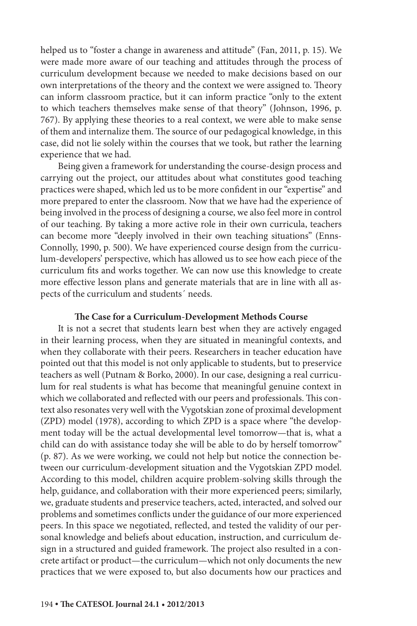helped us to "foster a change in awareness and attitude" (Fan, 2011, p. 15). We were made more aware of our teaching and attitudes through the process of curriculum development because we needed to make decisions based on our own interpretations of the theory and the context we were assigned to. Theory can inform classroom practice, but it can inform practice "only to the extent to which teachers themselves make sense of that theory" (Johnson, 1996, p. 767). By applying these theories to a real context, we were able to make sense of them and internalize them. The source of our pedagogical knowledge, in this case, did not lie solely within the courses that we took, but rather the learning experience that we had.

Being given a framework for understanding the course-design process and carrying out the project, our attitudes about what constitutes good teaching practices were shaped, which led us to be more confident in our "expertise" and more prepared to enter the classroom. Now that we have had the experience of being involved in the process of designing a course, we also feel more in control of our teaching. By taking a more active role in their own curricula, teachers can become more "deeply involved in their own teaching situations" (Enns-Connolly, 1990, p. 500). We have experienced course design from the curriculum-developers' perspective, which has allowed us to see how each piece of the curriculum fits and works together. We can now use this knowledge to create more effective lesson plans and generate materials that are in line with all aspects of the curriculum and students´ needs.

# **The Case for a Curriculum-Development Methods Course**

It is not a secret that students learn best when they are actively engaged in their learning process, when they are situated in meaningful contexts, and when they collaborate with their peers. Researchers in teacher education have pointed out that this model is not only applicable to students, but to preservice teachers as well (Putnam & Borko, 2000). In our case, designing a real curriculum for real students is what has become that meaningful genuine context in which we collaborated and reflected with our peers and professionals. This context also resonates very well with the Vygotskian zone of proximal development (ZPD) model (1978), according to which ZPD is a space where "the development today will be the actual developmental level tomorrow—that is, what a child can do with assistance today she will be able to do by herself tomorrow" (p. 87). As we were working, we could not help but notice the connection between our curriculum-development situation and the Vygotskian ZPD model. According to this model, children acquire problem-solving skills through the help, guidance, and collaboration with their more experienced peers; similarly, we, graduate students and preservice teachers, acted, interacted, and solved our problems and sometimes conflicts under the guidance of our more experienced peers. In this space we negotiated, reflected, and tested the validity of our personal knowledge and beliefs about education, instruction, and curriculum design in a structured and guided framework. The project also resulted in a concrete artifact or product—the curriculum—which not only documents the new practices that we were exposed to, but also documents how our practices and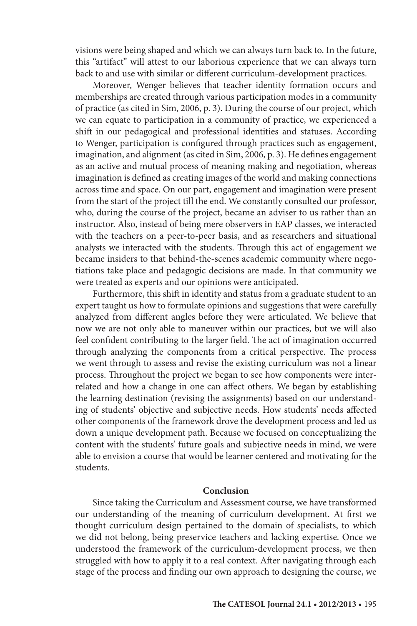visions were being shaped and which we can always turn back to. In the future, this "artifact" will attest to our laborious experience that we can always turn back to and use with similar or different curriculum-development practices.

Moreover, Wenger believes that teacher identity formation occurs and memberships are created through various participation modes in a community of practice (as cited in Sim, 2006, p. 3). During the course of our project, which we can equate to participation in a community of practice, we experienced a shift in our pedagogical and professional identities and statuses. According to Wenger, participation is configured through practices such as engagement, imagination, and alignment (as cited in Sim, 2006, p. 3). He defines engagement as an active and mutual process of meaning making and negotiation, whereas imagination is defined as creating images of the world and making connections across time and space. On our part, engagement and imagination were present from the start of the project till the end. We constantly consulted our professor, who, during the course of the project, became an adviser to us rather than an instructor. Also, instead of being mere observers in EAP classes, we interacted with the teachers on a peer-to-peer basis, and as researchers and situational analysts we interacted with the students. Through this act of engagement we became insiders to that behind-the-scenes academic community where negotiations take place and pedagogic decisions are made. In that community we were treated as experts and our opinions were anticipated.

Furthermore, this shift in identity and status from a graduate student to an expert taught us how to formulate opinions and suggestions that were carefully analyzed from different angles before they were articulated. We believe that now we are not only able to maneuver within our practices, but we will also feel confident contributing to the larger field. The act of imagination occurred through analyzing the components from a critical perspective. The process we went through to assess and revise the existing curriculum was not a linear process. Throughout the project we began to see how components were interrelated and how a change in one can affect others. We began by establishing the learning destination (revising the assignments) based on our understanding of students' objective and subjective needs. How students' needs affected other components of the framework drove the development process and led us down a unique development path. Because we focused on conceptualizing the content with the students' future goals and subjective needs in mind, we were able to envision a course that would be learner centered and motivating for the students.

# **Conclusion**

Since taking the Curriculum and Assessment course, we have transformed our understanding of the meaning of curriculum development. At first we thought curriculum design pertained to the domain of specialists, to which we did not belong, being preservice teachers and lacking expertise. Once we understood the framework of the curriculum-development process, we then struggled with how to apply it to a real context. After navigating through each stage of the process and finding our own approach to designing the course, we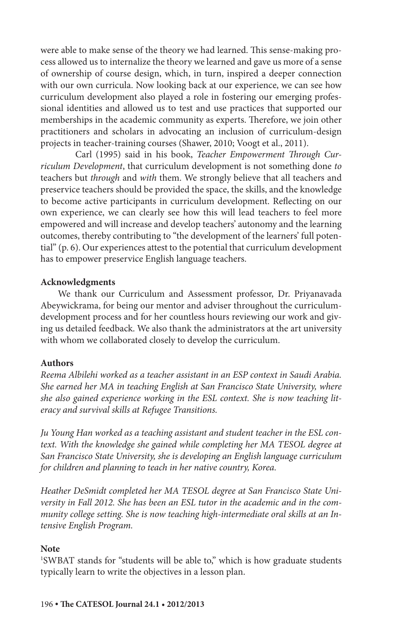were able to make sense of the theory we had learned. This sense-making process allowed us to internalize the theory we learned and gave us more of a sense of ownership of course design, which, in turn, inspired a deeper connection with our own curricula. Now looking back at our experience, we can see how curriculum development also played a role in fostering our emerging professional identities and allowed us to test and use practices that supported our memberships in the academic community as experts. Therefore, we join other practitioners and scholars in advocating an inclusion of curriculum-design projects in teacher-training courses (Shawer, 2010; Voogt et al., 2011).

Carl (1995) said in his book, *Teacher Empowerment Through Curriculum Development*, that curriculum development is not something done *to*  teachers but *through* and *with* them. We strongly believe that all teachers and preservice teachers should be provided the space, the skills, and the knowledge to become active participants in curriculum development. Reflecting on our own experience, we can clearly see how this will lead teachers to feel more empowered and will increase and develop teachers' autonomy and the learning outcomes, thereby contributing to "the development of the learners' full potential" (p. 6). Our experiences attest to the potential that curriculum development has to empower preservice English language teachers.

#### **Acknowledgments**

We thank our Curriculum and Assessment professor, Dr. Priyanavada Abeywickrama, for being our mentor and adviser throughout the curriculumdevelopment process and for her countless hours reviewing our work and giving us detailed feedback. We also thank the administrators at the art university with whom we collaborated closely to develop the curriculum.

# **Authors**

*Reema Albilehi worked as a teacher assistant in an ESP context in Saudi Arabia. She earned her MA in teaching English at San Francisco State University, where she also gained experience working in the ESL context. She is now teaching literacy and survival skills at Refugee Transitions.*

*Ju Young Han worked as a teaching assistant and student teacher in the ESL context. With the knowledge she gained while completing her MA TESOL degree at San Francisco State University, she is developing an English language curriculum for children and planning to teach in her native country, Korea.*

*Heather DeSmidt completed her MA TESOL degree at San Francisco State University in Fall 2012. She has been an ESL tutor in the academic and in the community college setting. She is now teaching high-intermediate oral skills at an Intensive English Program.*

#### **Note**

1 SWBAT stands for "students will be able to," which is how graduate students typically learn to write the objectives in a lesson plan.